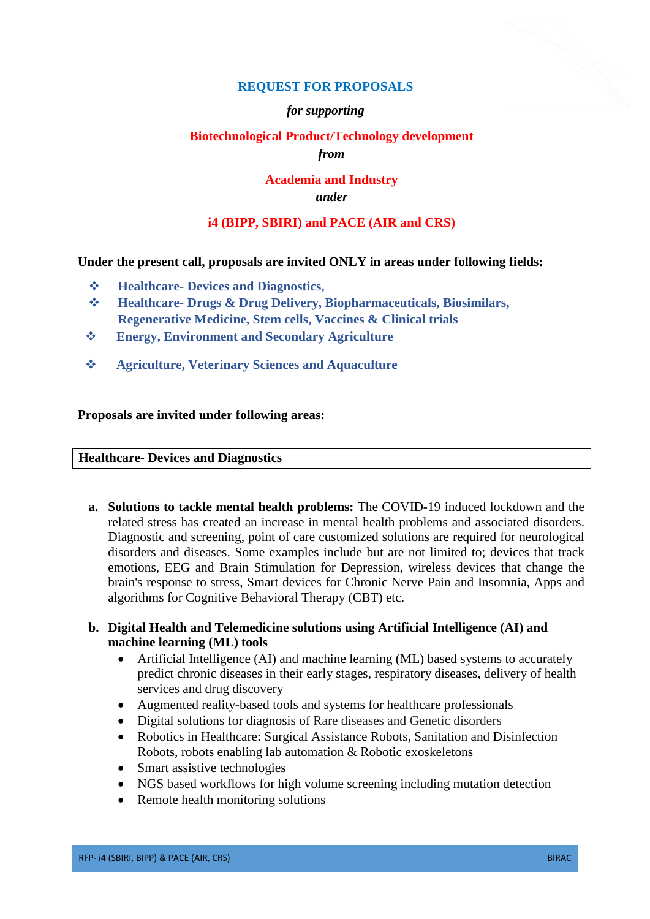## **REQUEST FOR PROPOSALS**

#### *for supporting*

# **Biotechnological Product/Technology development**

*from*

#### **Academia and Industry** *under*

## **i4 (BIPP, SBIRI) and PACE (AIR and CRS)**

#### **Under the present call, proposals are invited ONLY in areas under following fields:**

- **Healthcare- Devices and Diagnostics,**
- **Healthcare- Drugs & Drug Delivery, Biopharmaceuticals, Biosimilars, Regenerative Medicine, Stem cells, Vaccines & Clinical trials**
- **Energy, Environment and Secondary Agriculture**
- **Agriculture, Veterinary Sciences and Aquaculture**

#### **Proposals are invited under following areas:**

#### **Healthcare- Devices and Diagnostics**

**a. Solutions to tackle mental health problems:** The COVID-19 induced lockdown and the related stress has created an increase in mental health problems and associated disorders. Diagnostic and screening, point of care customized solutions are required for neurological disorders and diseases. Some examples include but are not limited to; devices that track emotions, EEG and Brain Stimulation for Depression, wireless devices that change the brain's response to stress, Smart devices for Chronic Nerve Pain and Insomnia, Apps and algorithms for Cognitive Behavioral Therapy (CBT) etc.

## **b. Digital Health and Telemedicine solutions using Artificial Intelligence (AI) and machine learning (ML) tools**

- Artificial Intelligence (AI) and machine learning (ML) based systems to accurately predict chronic diseases in their early stages, respiratory diseases, delivery of health services and drug discovery
- Augmented reality-based tools and systems for healthcare professionals
- Digital solutions for diagnosis of Rare diseases and Genetic disorders
- Robotics in Healthcare: Surgical Assistance Robots, Sanitation and Disinfection Robots, robots enabling lab automation & Robotic exoskeletons
- Smart assistive technologies
- NGS based workflows for high volume screening including mutation detection
- Remote health monitoring solutions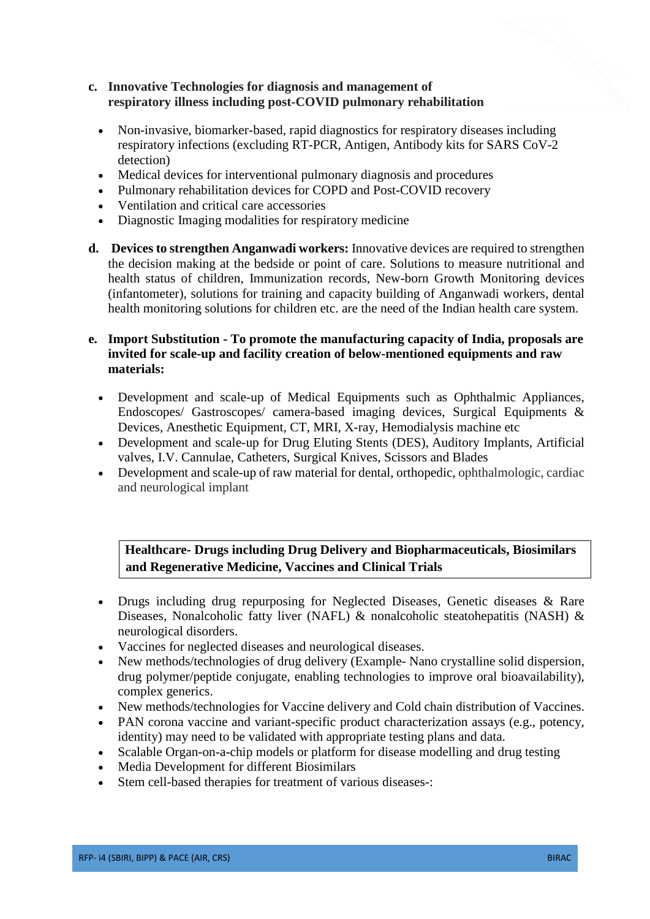## **c. Innovative Technologies for diagnosis and management of respiratory illness including post-COVID pulmonary rehabilitation**

- Non-invasive, biomarker-based, rapid diagnostics for respiratory diseases including respiratory infections (excluding RT-PCR, Antigen, Antibody kits for SARS CoV-2 detection)
- Medical devices for interventional pulmonary diagnosis and procedures
- Pulmonary rehabilitation devices for COPD and Post-COVID recovery
- Ventilation and critical care accessories
- Diagnostic Imaging modalities for respiratory medicine
- **d. Devices to strengthen Anganwadi workers:** Innovative devices are required to strengthen the decision making at the bedside or point of care. Solutions to measure nutritional and health status of children, Immunization records, New-born Growth Monitoring devices (infantometer), solutions for training and capacity building of Anganwadi workers, dental health monitoring solutions for children etc. are the need of the Indian health care system.

## **e. Import Substitution - To promote the manufacturing capacity of India, proposals are invited for scale-up and facility creation of below-mentioned equipments and raw materials:**

- Development and scale-up of Medical Equipments such as Ophthalmic Appliances, Endoscopes/ Gastroscopes/ camera-based imaging devices, Surgical Equipments & Devices, Anesthetic Equipment, CT, MRI, X-ray, Hemodialysis machine etc
- Development and scale-up for Drug Eluting Stents (DES), Auditory Implants, Artificial valves, I.V. Cannulae, Catheters, Surgical Knives, Scissors and Blades
- Development and scale-up of raw material for dental, orthopedic, ophthalmologic, cardiac and neurological implant

**Healthcare- Drugs including Drug Delivery and Biopharmaceuticals, Biosimilars and Regenerative Medicine, Vaccines and Clinical Trials**

- Drugs including drug repurposing for Neglected Diseases, Genetic diseases & Rare Diseases, Nonalcoholic fatty liver (NAFL)  $\&$  nonalcoholic steatohepatitis (NASH)  $\&$ neurological disorders.
- Vaccines for neglected diseases and neurological diseases.
- New methods/technologies of drug delivery (Example- Nano crystalline solid dispersion, drug polymer/peptide conjugate, enabling technologies to improve oral bioavailability), complex generics.
- New methods/technologies for Vaccine delivery and Cold chain distribution of Vaccines.
- PAN corona vaccine and variant-specific product characterization assays (e.g., potency, identity) may need to be validated with appropriate testing plans and data.
- Scalable Organ-on-a-chip models or platform for disease modelling and drug testing
- Media Development for different Biosimilars
- Stem cell-based therapies for treatment of various diseases-: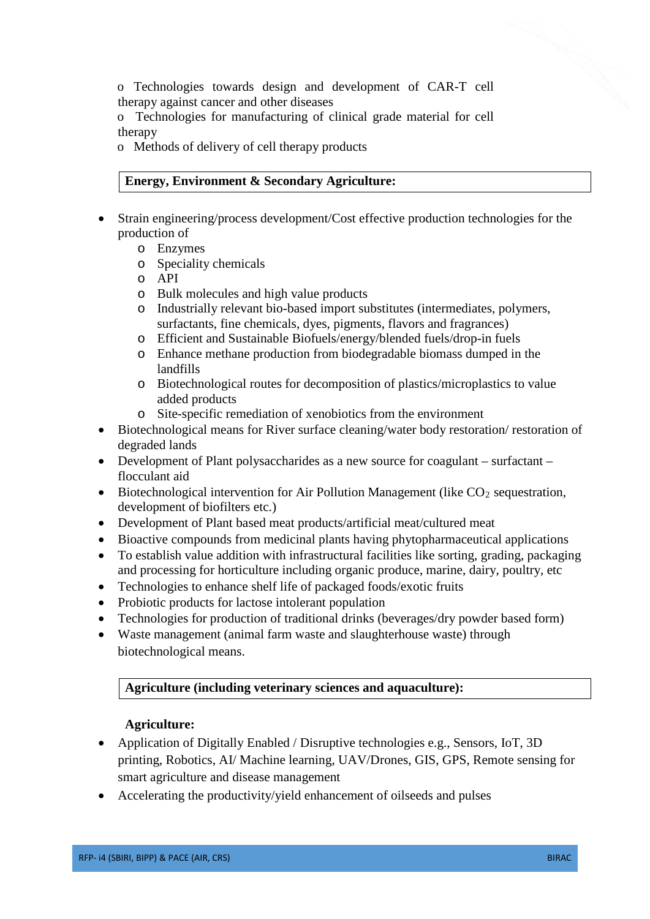o Technologies towards design and development of CAR-T cell therapy against cancer and other diseases

o Technologies for manufacturing of clinical grade material for cell therapy

o Methods of delivery of cell therapy products

# **Energy, Environment & Secondary Agriculture:**

- Strain engineering/process development/Cost effective production technologies for the production of
	- o Enzymes
	- o Speciality chemicals
	- o API
	- o Bulk molecules and high value products
	- o Industrially relevant bio-based import substitutes (intermediates, polymers, surfactants, fine chemicals, dyes, pigments, flavors and fragrances)
	- o Efficient and Sustainable Biofuels/energy/blended fuels/drop-in fuels
	- o Enhance methane production from biodegradable biomass dumped in the landfills
	- o Biotechnological routes for decomposition of plastics/microplastics to value added products
	- o Site-specific remediation of xenobiotics from the environment
- Biotechnological means for River surface cleaning/water body restoration/ restoration of degraded lands
- Development of Plant polysaccharides as a new source for coagulant surfactant flocculant aid
- Biotechnological intervention for Air Pollution Management (like  $CO<sub>2</sub>$  sequestration, development of biofilters etc.)
- Development of Plant based meat products/artificial meat/cultured meat
- Bioactive compounds from medicinal plants having phytopharmaceutical applications
- To establish value addition with infrastructural facilities like sorting, grading, packaging and processing for horticulture including organic produce, marine, dairy, poultry, etc
- Technologies to enhance shelf life of packaged foods/exotic fruits
- Probiotic products for lactose intolerant population
- Technologies for production of traditional drinks (beverages/dry powder based form)
- Waste management (animal farm waste and slaughterhouse waste) through biotechnological means.

# **Agriculture (including veterinary sciences and aquaculture):**

# **Agriculture:**

- Application of Digitally Enabled / Disruptive technologies e.g., Sensors, IoT, 3D printing, Robotics, AI/ Machine learning, UAV/Drones, GIS, GPS, Remote sensing for smart agriculture and disease management
- Accelerating the productivity/vield enhancement of oilseeds and pulses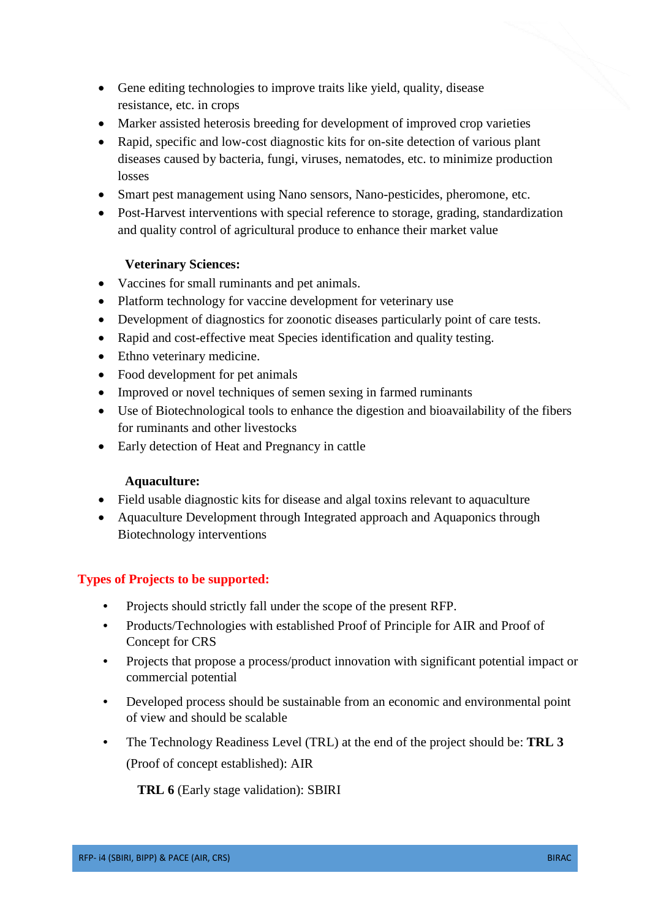- Gene editing technologies to improve traits like yield, quality, disease resistance, etc. in crops
- Marker assisted heterosis breeding for development of improved crop varieties
- Rapid, specific and low-cost diagnostic kits for on-site detection of various plant diseases caused by bacteria, fungi, viruses, nematodes, etc. to minimize production losses
- Smart pest management using Nano sensors, Nano-pesticides, pheromone, etc.
- Post-Harvest interventions with special reference to storage, grading, standardization and quality control of agricultural produce to enhance their market value

## **Veterinary Sciences:**

- Vaccines for small ruminants and pet animals.
- Platform technology for vaccine development for veterinary use
- Development of diagnostics for zoonotic diseases particularly point of care tests.
- Rapid and cost-effective meat Species identification and quality testing.
- Ethno veterinary medicine.
- Food development for pet animals
- Improved or novel techniques of semen sexing in farmed ruminants
- Use of Biotechnological tools to enhance the digestion and bioavailability of the fibers for ruminants and other livestocks
- Early detection of Heat and Pregnancy in cattle

## **Aquaculture:**

- Field usable diagnostic kits for disease and algal toxins relevant to aquaculture
- Aquaculture Development through Integrated approach and Aquaponics through Biotechnology interventions

## **Types of Projects to be supported:**

- Projects should strictly fall under the scope of the present RFP.
- Products/Technologies with established Proof of Principle for AIR and Proof of Concept for CRS
- Projects that propose a process/product innovation with significant potential impact or commercial potential
- Developed process should be sustainable from an economic and environmental point of view and should be scalable
- The Technology Readiness Level (TRL) at the end of the project should be: **TRL 3**  (Proof of concept established): AIR

**TRL 6** (Early stage validation): SBIRI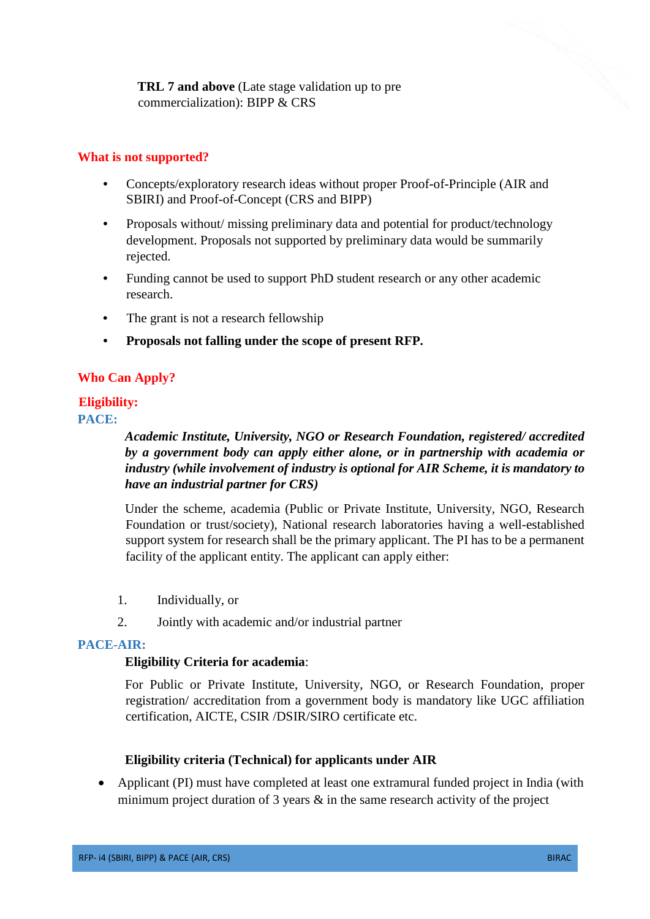**TRL 7 and above** (Late stage validation up to pre commercialization): BIPP & CRS

#### **What is not supported?**

- Concepts/exploratory research ideas without proper Proof-of-Principle (AIR and SBIRI) and Proof-of-Concept (CRS and BIPP)
- Proposals without/ missing preliminary data and potential for product/technology development. Proposals not supported by preliminary data would be summarily rejected.
- Funding cannot be used to support PhD student research or any other academic research.
- The grant is not a research fellowship
- **Proposals not falling under the scope of present RFP.**

## **Who Can Apply?**

# **Eligibility:**

**PACE:**

*Academic Institute, University, NGO or Research Foundation, registered/ accredited by a government body can apply either alone, or in partnership with academia or industry (while involvement of industry is optional for AIR Scheme, it is mandatory to have an industrial partner for CRS)*

Under the scheme, academia (Public or Private Institute, University, NGO, Research Foundation or trust/society), National research laboratories having a well-established support system for research shall be the primary applicant. The PI has to be a permanent facility of the applicant entity. The applicant can apply either:

- 1. Individually, or
- 2. Jointly with academic and/or industrial partner

## **PACE-AIR:**

#### **Eligibility Criteria for academia**:

For Public or Private Institute, University, NGO, or Research Foundation, proper registration/ accreditation from a government body is mandatory like UGC affiliation certification, AICTE, CSIR /DSIR/SIRO certificate etc.

## **Eligibility criteria (Technical) for applicants under AIR**

• Applicant (PI) must have completed at least one extramural funded project in India (with minimum project duration of 3 years & in the same research activity of the project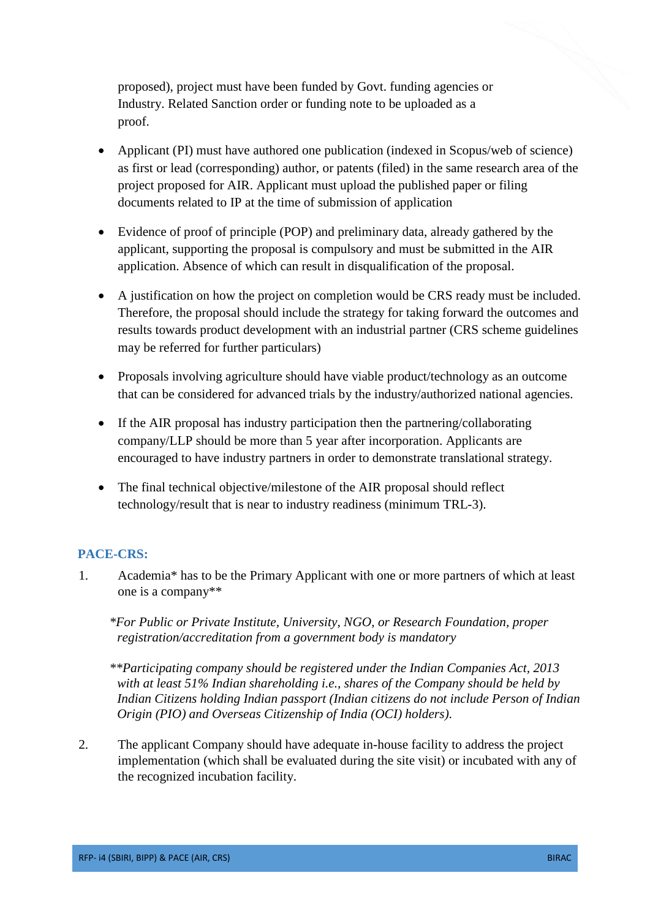proposed), project must have been funded by Govt. funding agencies or Industry. Related Sanction order or funding note to be uploaded as a proof.

- Applicant (PI) must have authored one publication (indexed in Scopus/web of science) as first or lead (corresponding) author, or patents (filed) in the same research area of the project proposed for AIR. Applicant must upload the published paper or filing documents related to IP at the time of submission of application
- Evidence of proof of principle (POP) and preliminary data, already gathered by the applicant, supporting the proposal is compulsory and must be submitted in the AIR application. Absence of which can result in disqualification of the proposal.
- A justification on how the project on completion would be CRS ready must be included. Therefore, the proposal should include the strategy for taking forward the outcomes and results towards product development with an industrial partner (CRS scheme guidelines may be referred for further particulars)
- Proposals involving agriculture should have viable product/technology as an outcome that can be considered for advanced trials by the industry/authorized national agencies.
- If the AIR proposal has industry participation then the partnering/collaborating company/LLP should be more than 5 year after incorporation. Applicants are encouraged to have industry partners in order to demonstrate translational strategy.
- The final technical objective/milestone of the AIR proposal should reflect technology/result that is near to industry readiness (minimum TRL-3).

# **PACE-CRS:**

1. Academia\* has to be the Primary Applicant with one or more partners of which at least one is a company\*\*

*\*For Public or Private Institute, University, NGO, or Research Foundation, proper registration/accreditation from a government body is mandatory*

*\*\*Participating company should be registered under the Indian Companies Act, 2013 with at least 51% Indian shareholding i.e., shares of the Company should be held by Indian Citizens holding Indian passport (Indian citizens do not include Person of Indian Origin (PIO) and Overseas Citizenship of India (OCI) holders)*.

2. The applicant Company should have adequate in-house facility to address the project implementation (which shall be evaluated during the site visit) or incubated with any of the recognized incubation facility.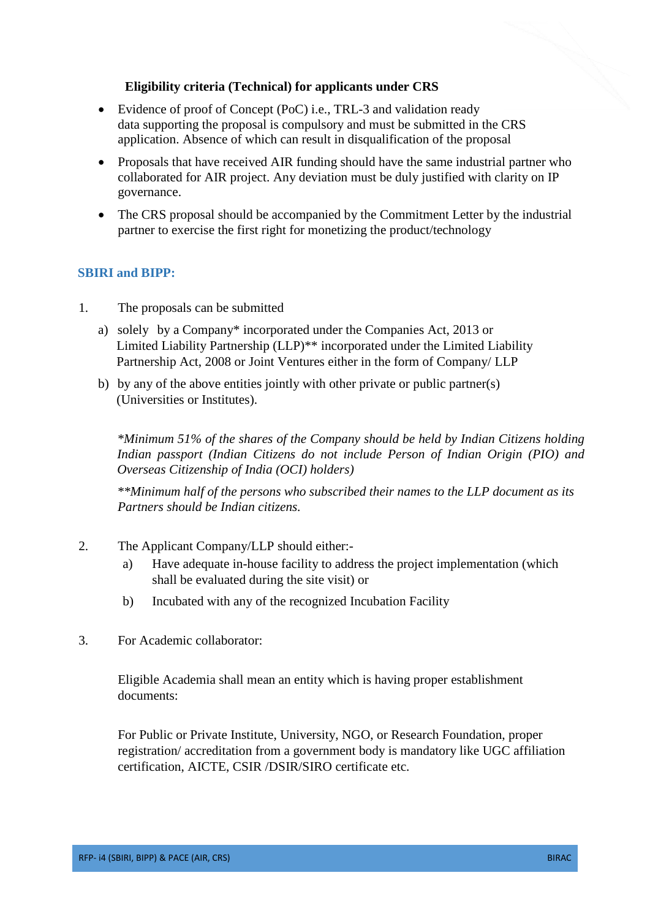## **Eligibility criteria (Technical) for applicants under CRS**

- Evidence of proof of Concept (PoC) i.e., TRL-3 and validation ready data supporting the proposal is compulsory and must be submitted in the CRS application. Absence of which can result in disqualification of the proposal
- Proposals that have received AIR funding should have the same industrial partner who collaborated for AIR project. Any deviation must be duly justified with clarity on IP governance.
- The CRS proposal should be accompanied by the Commitment Letter by the industrial partner to exercise the first right for monetizing the product/technology

## **SBIRI and BIPP:**

- 1. The proposals can be submitted
	- a) solely by a Company\* incorporated under the Companies Act, 2013 or Limited Liability Partnership (LLP)\*\* incorporated under the Limited Liability Partnership Act, 2008 or Joint Ventures either in the form of Company/ LLP
	- b) by any of the above entities jointly with other private or public partner(s) (Universities or Institutes).

*\*Minimum 51% of the shares of the Company should be held by Indian Citizens holding Indian passport (Indian Citizens do not include Person of Indian Origin (PIO) and Overseas Citizenship of India (OCI) holders)*

*\*\*Minimum half of the persons who subscribed their names to the LLP document as its Partners should be Indian citizens.*

- 2. The Applicant Company/LLP should either:
	- a) Have adequate in-house facility to address the project implementation (which shall be evaluated during the site visit) or
	- b) Incubated with any of the recognized Incubation Facility
- 3. For Academic collaborator:

Eligible Academia shall mean an entity which is having proper establishment documents:

For Public or Private Institute, University, NGO, or Research Foundation, proper registration/ accreditation from a government body is mandatory like UGC affiliation certification, AICTE, CSIR /DSIR/SIRO certificate etc.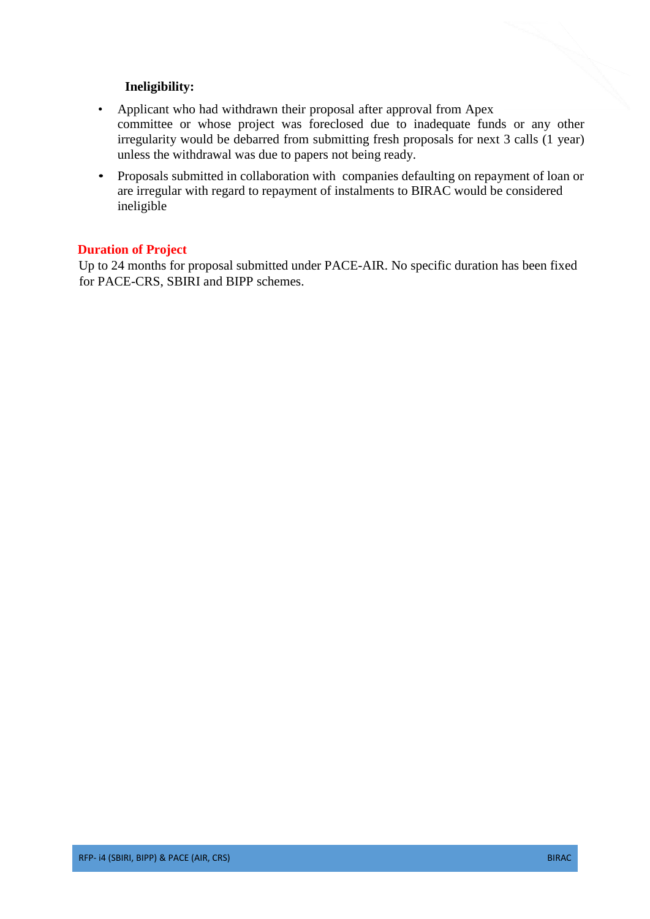## **Ineligibility:**

- Applicant who had withdrawn their proposal after approval from Apex committee or whose project was foreclosed due to inadequate funds or any other irregularity would be debarred from submitting fresh proposals for next 3 calls (1 year) unless the withdrawal was due to papers not being ready.
- Proposals submitted in collaboration with companies defaulting on repayment of loan or are irregular with regard to repayment of instalments to BIRAC would be considered ineligible

## **Duration of Project**

Up to 24 months for proposal submitted under PACE-AIR. No specific duration has been fixed for PACE-CRS, SBIRI and BIPP schemes.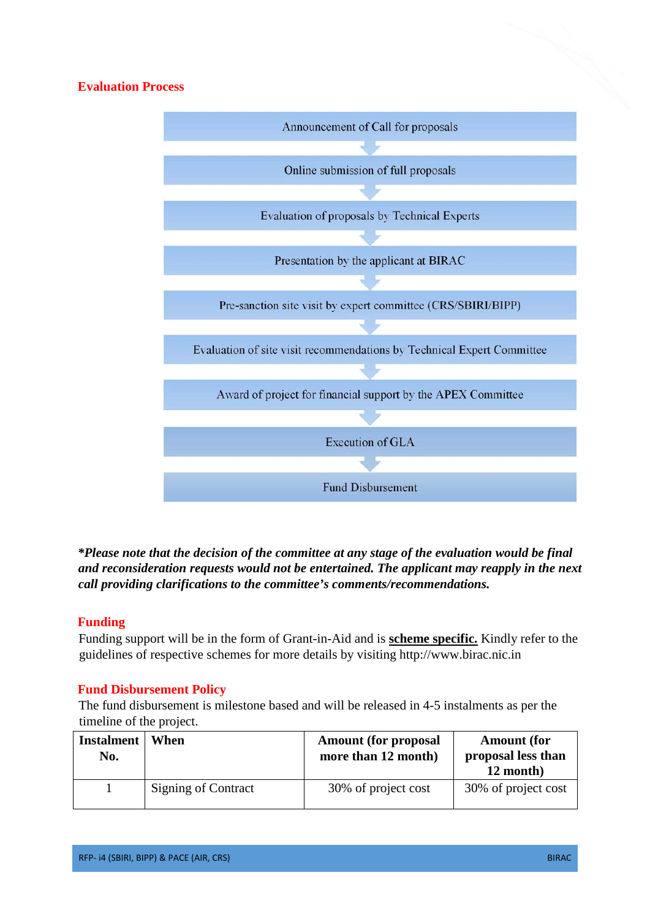# **Evaluation Process**



*\*Please note that the decision of the committee at any stage of the evaluation would be final and reconsideration requests would not be entertained. The applicant may reapply in the next call providing clarifications to the committee's comments/recommendations.*

## **Funding**

Funding support will be in the form of Grant-in-Aid and is **scheme specific.** Kindly refer to the guidelines of respective schemes for more details by visiting http://www.birac.nic.in

## **Fund Disbursement Policy**

The fund disbursement is milestone based and will be released in 4-5 instalments as per the timeline of the project.

| <b>Instalment</b><br>No. | When                       | <b>Amount (for proposal</b><br>more than 12 month) | <b>Amount</b> (for<br>proposal less than<br>12 month) |
|--------------------------|----------------------------|----------------------------------------------------|-------------------------------------------------------|
|                          | <b>Signing of Contract</b> | 30% of project cost                                | 30% of project cost                                   |